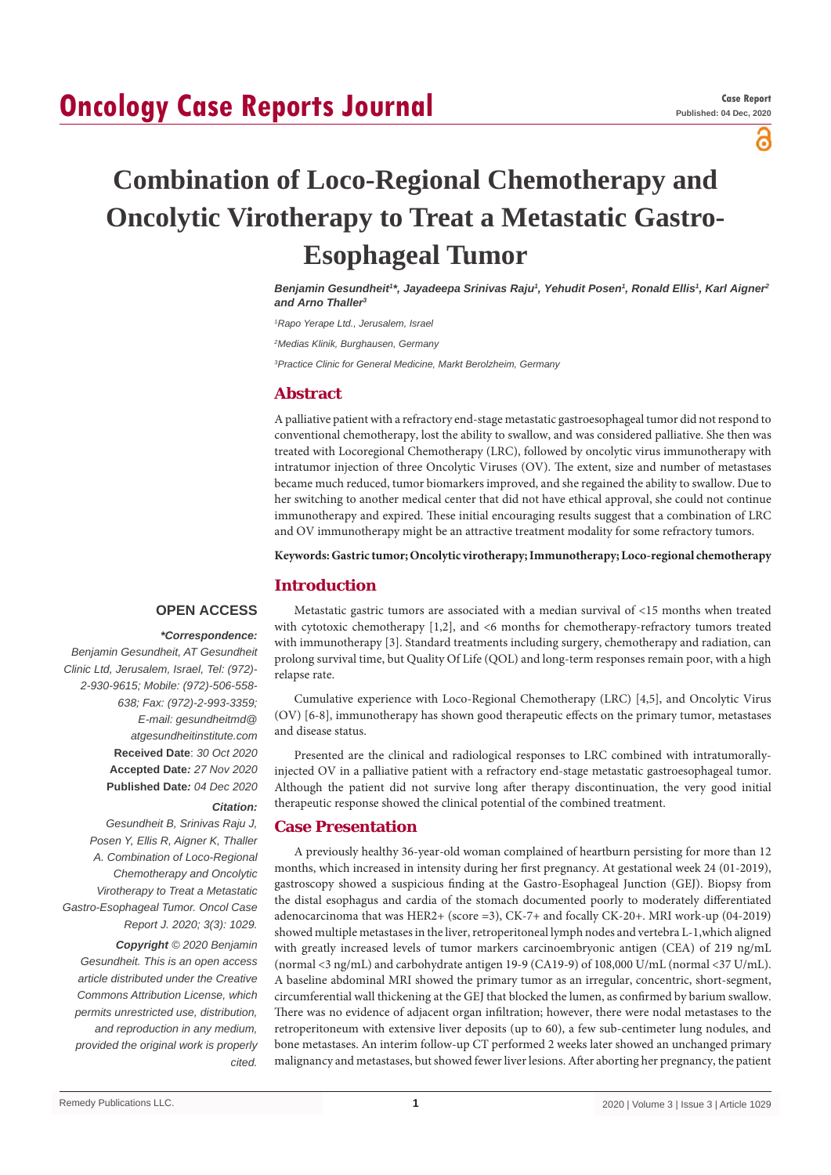## **Oncology Case Reports Journal**

പ്പ

# **Combination of Loco-Regional Chemotherapy and Oncolytic Virotherapy to Treat a Metastatic Gastro-Esophageal Tumor**

Benjamin Gesundheit'\*, Jayadeepa Srinivas Raju', Yehudit Posen', Ronald Ellis', Karl Aigner<del>'</del> *and Arno Thaller3*

*1 Rapo Yerape Ltd., Jerusalem, Israel*

*2 Medias Klinik, Burghausen, Germany*

*3 Practice Clinic for General Medicine, Markt Berolzheim, Germany*

#### **Abstract**

A palliative patient with a refractory end-stage metastatic gastroesophageal tumor did not respond to conventional chemotherapy, lost the ability to swallow, and was considered palliative. She then was treated with Locoregional Chemotherapy (LRC), followed by oncolytic virus immunotherapy with intratumor injection of three Oncolytic Viruses (OV). The extent, size and number of metastases became much reduced, tumor biomarkers improved, and she regained the ability to swallow. Due to her switching to another medical center that did not have ethical approval, she could not continue immunotherapy and expired. These initial encouraging results suggest that a combination of LRC and OV immunotherapy might be an attractive treatment modality for some refractory tumors.

**Keywords: Gastric tumor; Oncolytic virotherapy; Immunotherapy; Loco-regional chemotherapy**

#### **Introduction**

#### **OPEN ACCESS**

#### *\*Correspondence:*

*Benjamin Gesundheit, AT Gesundheit Clinic Ltd, Jerusalem, Israel, Tel: (972)- 2-930-9615; Mobile: (972)-506-558- 638; Fax: (972)-2-993-3359; E-mail: gesundheitmd@ atgesundheitinstitute.com* **Received Date**: *30 Oct 2020* **Accepted Date***: 27 Nov 2020* **Published Date***: 04 Dec 2020*

*Citation:* 

*Gesundheit B, Srinivas Raju J, Posen Y, Ellis R, Aigner K, Thaller A. Combination of Loco-Regional Chemotherapy and Oncolytic Virotherapy to Treat a Metastatic Gastro-Esophageal Tumor. Oncol Case Report J. 2020; 3(3): 1029.*

*Copyright © 2020 Benjamin Gesundheit. This is an open access article distributed under the Creative Commons Attribution License, which permits unrestricted use, distribution, and reproduction in any medium, provided the original work is properly cited.*

Metastatic gastric tumors are associated with a median survival of <15 months when treated with cytotoxic chemotherapy [1,2], and <6 months for chemotherapy-refractory tumors treated with immunotherapy [3]. Standard treatments including surgery, chemotherapy and radiation, can prolong survival time, but Quality Of Life (QOL) and long-term responses remain poor, with a high relapse rate.

Cumulative experience with Loco-Regional Chemotherapy (LRC) [4,5], and Oncolytic Virus (OV) [6-8], immunotherapy has shown good therapeutic effects on the primary tumor, metastases and disease status.

Presented are the clinical and radiological responses to LRC combined with intratumorallyinjected OV in a palliative patient with a refractory end-stage metastatic gastroesophageal tumor. Although the patient did not survive long after therapy discontinuation, the very good initial therapeutic response showed the clinical potential of the combined treatment.

#### **Case Presentation**

A previously healthy 36-year-old woman complained of heartburn persisting for more than 12 months, which increased in intensity during her first pregnancy. At gestational week 24 (01-2019), gastroscopy showed a suspicious finding at the Gastro-Esophageal Junction (GEJ). Biopsy from the distal esophagus and cardia of the stomach documented poorly to moderately differentiated adenocarcinoma that was HER2+ (score =3), CK-7+ and focally CK-20+. MRI work-up (04-2019) showed multiple metastases in the liver, retroperitoneal lymph nodes and vertebra L-1,which aligned with greatly increased levels of tumor markers carcinoembryonic antigen (CEA) of 219 ng/mL (normal <3 ng/mL) and carbohydrate antigen 19-9 (CA19-9) of 108,000 U/mL (normal <37 U/mL). A baseline abdominal MRI showed the primary tumor as an irregular, concentric, short-segment, circumferential wall thickening at the GEJ that blocked the lumen, as confirmed by barium swallow. There was no evidence of adjacent organ infiltration; however, there were nodal metastases to the retroperitoneum with extensive liver deposits (up to 60), a few sub-centimeter lung nodules, and bone metastases. An interim follow-up CT performed 2 weeks later showed an unchanged primary malignancy and metastases, but showed fewer liver lesions. After aborting her pregnancy, the patient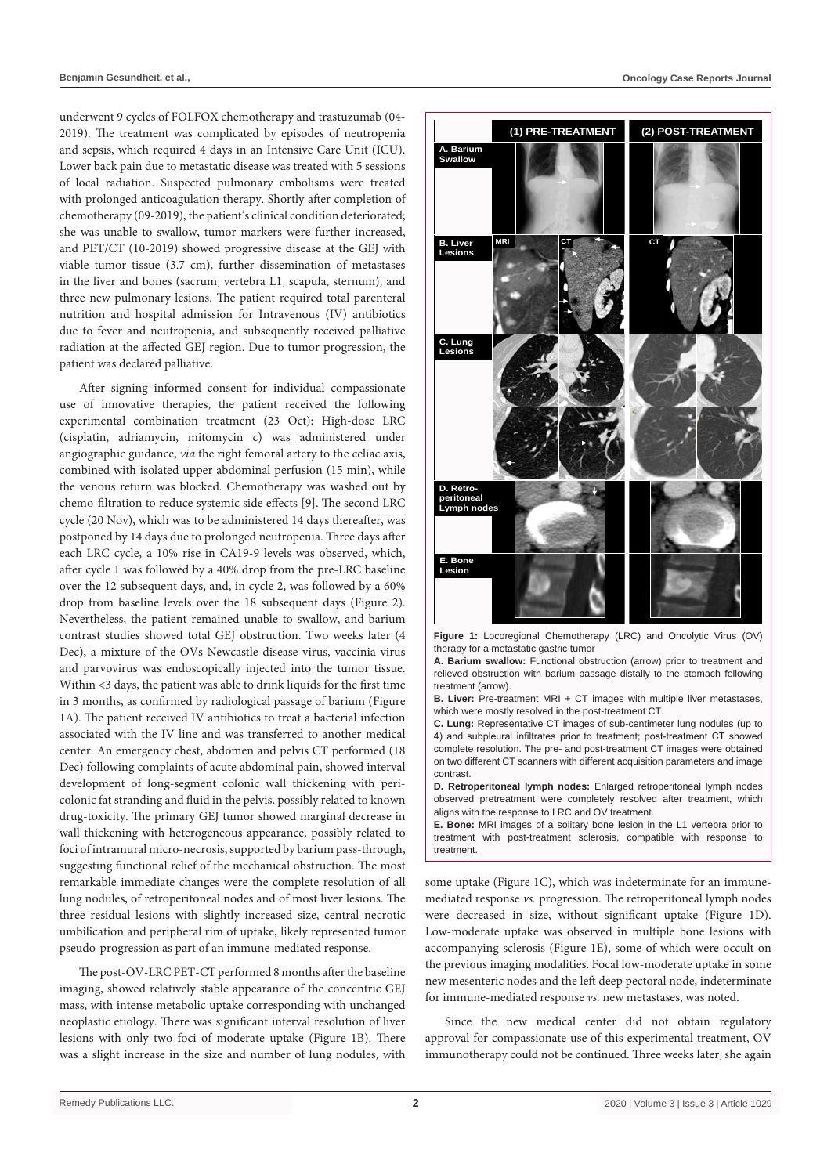underwent 9 cycles of FOLFOX chemotherapy and trastuzumab (04- 2019). The treatment was complicated by episodes of neutropenia and sepsis, which required 4 days in an Intensive Care Unit (ICU). Lower back pain due to metastatic disease was treated with 5 sessions of local radiation. Suspected pulmonary embolisms were treated with prolonged anticoagulation therapy. Shortly after completion of chemotherapy (09-2019), the patient's clinical condition deteriorated; she was unable to swallow, tumor markers were further increased, and PET/CT (10-2019) showed progressive disease at the GEJ with viable tumor tissue (3.7 cm), further dissemination of metastases in the liver and bones (sacrum, vertebra L1, scapula, sternum), and three new pulmonary lesions. The patient required total parenteral nutrition and hospital admission for Intravenous (IV) antibiotics due to fever and neutropenia, and subsequently received palliative radiation at the affected GEJ region. Due to tumor progression, the patient was declared palliative.

After signing informed consent for individual compassionate use of innovative therapies, the patient received the following experimental combination treatment (23 Oct): High-dose LRC (cisplatin, adriamycin, mitomycin c) was administered under angiographic guidance, *via* the right femoral artery to the celiac axis, combined with isolated upper abdominal perfusion (15 min), while the venous return was blocked. Chemotherapy was washed out by chemo-filtration to reduce systemic side effects [9]. The second LRC cycle (20 Nov), which was to be administered 14 days thereafter, was postponed by 14 days due to prolonged neutropenia. Three days after each LRC cycle, a 10% rise in CA19-9 levels was observed, which, after cycle 1 was followed by a 40% drop from the pre-LRC baseline over the 12 subsequent days, and, in cycle 2, was followed by a 60% drop from baseline levels over the 18 subsequent days (Figure 2). Nevertheless, the patient remained unable to swallow, and barium contrast studies showed total GEJ obstruction. Two weeks later (4 Dec), a mixture of the OVs Newcastle disease virus, vaccinia virus and parvovirus was endoscopically injected into the tumor tissue. Within <3 days, the patient was able to drink liquids for the first time in 3 months, as confirmed by radiological passage of barium (Figure 1A). The patient received IV antibiotics to treat a bacterial infection associated with the IV line and was transferred to another medical center. An emergency chest, abdomen and pelvis CT performed (18 Dec) following complaints of acute abdominal pain, showed interval development of long-segment colonic wall thickening with pericolonic fat stranding and fluid in the pelvis, possibly related to known drug-toxicity. The primary GEJ tumor showed marginal decrease in wall thickening with heterogeneous appearance, possibly related to foci of intramural micro-necrosis, supported by barium pass-through, suggesting functional relief of the mechanical obstruction. The most remarkable immediate changes were the complete resolution of all lung nodules, of retroperitoneal nodes and of most liver lesions. The three residual lesions with slightly increased size, central necrotic umbilication and peripheral rim of uptake, likely represented tumor pseudo-progression as part of an immune-mediated response.

The post-OV-LRC PET-CT performed 8 months after the baseline imaging, showed relatively stable appearance of the concentric GEJ mass, with intense metabolic uptake corresponding with unchanged neoplastic etiology. There was significant interval resolution of liver lesions with only two foci of moderate uptake (Figure 1B). There was a slight increase in the size and number of lung nodules, with



**Figure 1:** Locoregional Chemotherapy (LRC) and Oncolytic Virus (OV) therapy for a metastatic gastric tumor

**A. Barium swallow:** Functional obstruction (arrow) prior to treatment and relieved obstruction with barium passage distally to the stomach following treatment (arrow).

**B. Liver:** Pre-treatment MRI + CT images with multiple liver metastases, which were mostly resolved in the post-treatment CT.

**C. Lung:** Representative CT images of sub-centimeter lung nodules (up to 4) and subpleural infiltrates prior to treatment; post-treatment CT showed complete resolution. The pre- and post-treatment CT images were obtained on two different CT scanners with different acquisition parameters and image contrast.

**D. Retroperitoneal lymph nodes:** Enlarged retroperitoneal lymph nodes observed pretreatment were completely resolved after treatment, which aligns with the response to LRC and OV treatment.

**E. Bone:** MRI images of a solitary bone lesion in the L1 vertebra prior to treatment with post-treatment sclerosis, compatible with response to treatment.

some uptake (Figure 1C), which was indeterminate for an immunemediated response *vs.* progression. The retroperitoneal lymph nodes were decreased in size, without significant uptake (Figure 1D). Low-moderate uptake was observed in multiple bone lesions with accompanying sclerosis (Figure 1E), some of which were occult on the previous imaging modalities. Focal low-moderate uptake in some new mesenteric nodes and the left deep pectoral node, indeterminate for immune-mediated response *vs.* new metastases, was noted.

Since the new medical center did not obtain regulatory approval for compassionate use of this experimental treatment, OV immunotherapy could not be continued. Three weeks later, she again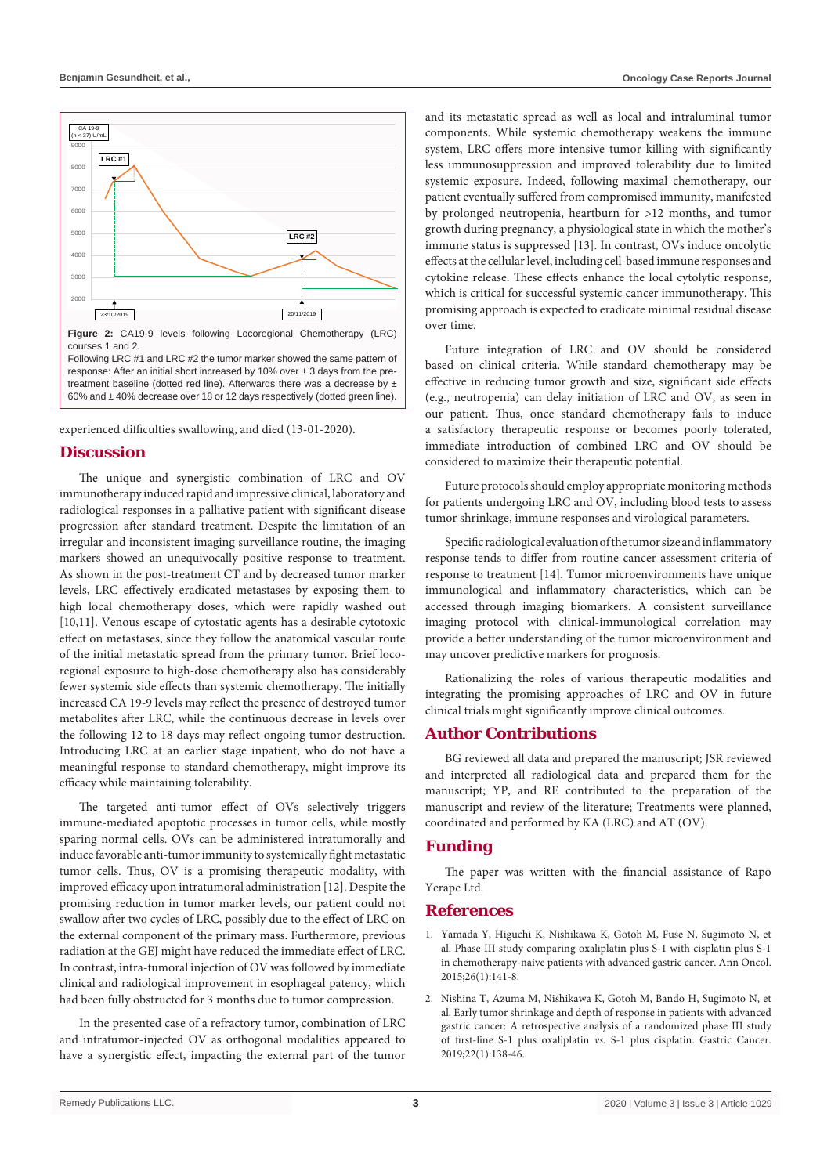

response: After an initial short increased by 10% over  $\pm$  3 days from the pretreatment baseline (dotted red line). Afterwards there was a decrease by  $\pm$ 60% and ± 40% decrease over 18 or 12 days respectively (dotted green line).

experienced difficulties swallowing, and died (13-01-2020).

#### **Discussion**

The unique and synergistic combination of LRC and OV immunotherapy induced rapid and impressive clinical, laboratory and radiological responses in a palliative patient with significant disease progression after standard treatment. Despite the limitation of an irregular and inconsistent imaging surveillance routine, the imaging markers showed an unequivocally positive response to treatment. As shown in the post-treatment CT and by decreased tumor marker levels, LRC effectively eradicated metastases by exposing them to high local chemotherapy doses, which were rapidly washed out [10,11]. Venous escape of cytostatic agents has a desirable cytotoxic effect on metastases, since they follow the anatomical vascular route of the initial metastatic spread from the primary tumor. Brief locoregional exposure to high-dose chemotherapy also has considerably fewer systemic side effects than systemic chemotherapy. The initially increased CA 19-9 levels may reflect the presence of destroyed tumor metabolites after LRC, while the continuous decrease in levels over the following 12 to 18 days may reflect ongoing tumor destruction. Introducing LRC at an earlier stage inpatient, who do not have a meaningful response to standard chemotherapy, might improve its efficacy while maintaining tolerability.

The targeted anti-tumor effect of OVs selectively triggers immune-mediated apoptotic processes in tumor cells, while mostly sparing normal cells. OVs can be administered intratumorally and induce favorable anti-tumor immunity to systemically fight metastatic tumor cells. Thus, OV is a promising therapeutic modality, with improved efficacy upon intratumoral administration [12]. Despite the promising reduction in tumor marker levels, our patient could not swallow after two cycles of LRC, possibly due to the effect of LRC on the external component of the primary mass. Furthermore, previous radiation at the GEJ might have reduced the immediate effect of LRC. In contrast, intra-tumoral injection of OV was followed by immediate clinical and radiological improvement in esophageal patency, which had been fully obstructed for 3 months due to tumor compression.

In the presented case of a refractory tumor, combination of LRC and intratumor-injected OV as orthogonal modalities appeared to have a synergistic effect, impacting the external part of the tumor

and its metastatic spread as well as local and intraluminal tumor components. While systemic chemotherapy weakens the immune system, LRC offers more intensive tumor killing with significantly less immunosuppression and improved tolerability due to limited systemic exposure. Indeed, following maximal chemotherapy, our patient eventually suffered from compromised immunity, manifested by prolonged neutropenia, heartburn for >12 months, and tumor growth during pregnancy, a physiological state in which the mother's immune status is suppressed [13]. In contrast, OVs induce oncolytic effects at the cellular level, including cell-based immune responses and cytokine release. These effects enhance the local cytolytic response, which is critical for successful systemic cancer immunotherapy. This promising approach is expected to eradicate minimal residual disease over time.

Future integration of LRC and OV should be considered based on clinical criteria. While standard chemotherapy may be effective in reducing tumor growth and size, significant side effects (e.g., neutropenia) can delay initiation of LRC and OV, as seen in our patient. Thus, once standard chemotherapy fails to induce a satisfactory therapeutic response or becomes poorly tolerated, immediate introduction of combined LRC and OV should be considered to maximize their therapeutic potential.

Future protocols should employ appropriate monitoring methods for patients undergoing LRC and OV, including blood tests to assess tumor shrinkage, immune responses and virological parameters.

Specific radiological evaluation of the tumor size and inflammatory response tends to differ from routine cancer assessment criteria of response to treatment [14]. Tumor microenvironments have unique immunological and inflammatory characteristics, which can be accessed through imaging biomarkers. A consistent surveillance imaging protocol with clinical-immunological correlation may provide a better understanding of the tumor microenvironment and may uncover predictive markers for prognosis.

Rationalizing the roles of various therapeutic modalities and integrating the promising approaches of LRC and OV in future clinical trials might significantly improve clinical outcomes.

#### **Author Contributions**

BG reviewed all data and prepared the manuscript; JSR reviewed and interpreted all radiological data and prepared them for the manuscript; YP, and RE contributed to the preparation of the manuscript and review of the literature; Treatments were planned, coordinated and performed by KA (LRC) and AT (OV).

### **Funding**

The paper was written with the financial assistance of Rapo Yerape Ltd.

#### **References**

- 1. [Yamada Y, Higuchi K, Nishikawa K, Gotoh M, Fuse N, Sugimoto N, et](https://pubmed.ncbi.nlm.nih.gov/25316259/)  [al. Phase III study comparing oxaliplatin plus S-1 with cisplatin plus S-1](https://pubmed.ncbi.nlm.nih.gov/25316259/)  [in chemotherapy-naive patients with advanced gastric cancer. Ann Oncol.](https://pubmed.ncbi.nlm.nih.gov/25316259/)  [2015;26\(1\):141-8.](https://pubmed.ncbi.nlm.nih.gov/25316259/)
- 2. [Nishina T, Azuma M, Nishikawa K, Gotoh M, Bando H, Sugimoto N, et](https://pubmed.ncbi.nlm.nih.gov/29948386/)  [al. Early tumor shrinkage and depth of response in patients with advanced](https://pubmed.ncbi.nlm.nih.gov/29948386/)  [gastric cancer: A retrospective analysis of a randomized phase III study](https://pubmed.ncbi.nlm.nih.gov/29948386/)  of first-line S-1 plus oxaliplatin *vs.* [S-1 plus cisplatin. Gastric Cancer.](https://pubmed.ncbi.nlm.nih.gov/29948386/)  [2019;22\(1\):138-46.](https://pubmed.ncbi.nlm.nih.gov/29948386/)